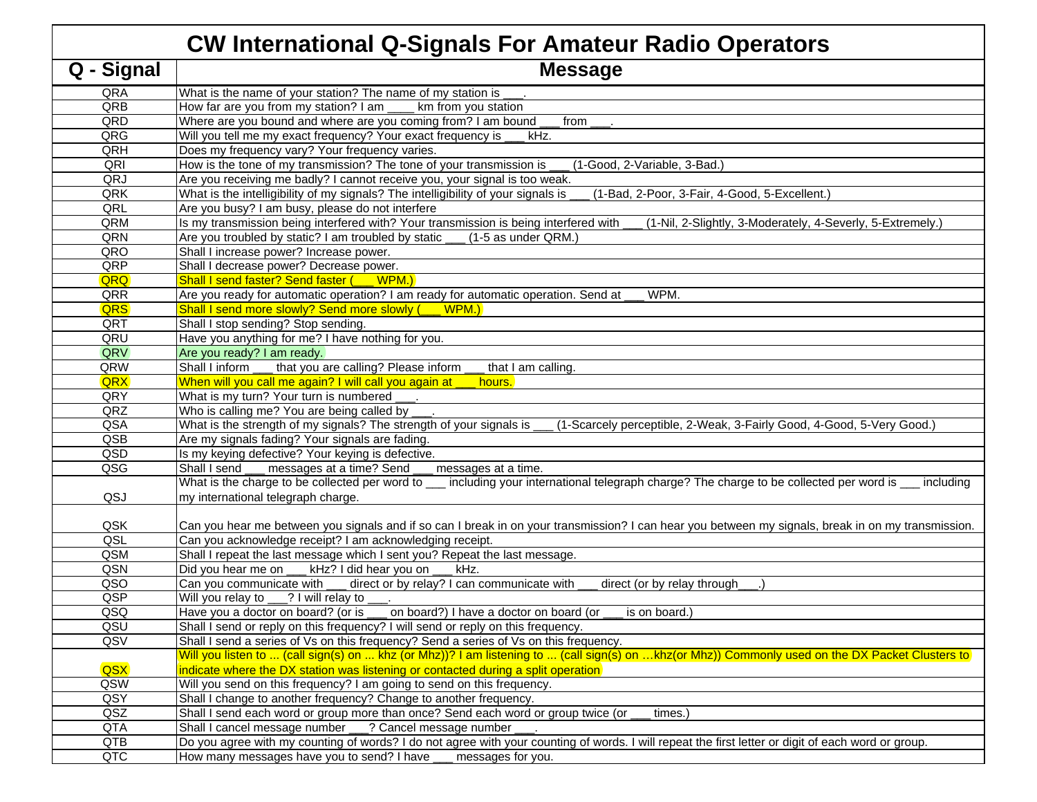| <b>CW International Q-Signals For Amateur Radio Operato</b> |                                                                                                                             |  |
|-------------------------------------------------------------|-----------------------------------------------------------------------------------------------------------------------------|--|
| $\overline{Q}$ - Signal                                     | <b>Message</b>                                                                                                              |  |
| QRA                                                         | What is the name of your station? The name of my station is                                                                 |  |
| QRB                                                         | How far are you from my station? I am<br>km from you station                                                                |  |
| QRD                                                         | Where are you bound and where are you coming from? I am bound _<br>$from \_\_$                                              |  |
| QRG                                                         | Will you tell me my exact frequency? Your exact frequency is<br>kHz.                                                        |  |
| QRH                                                         | Does my frequency vary? Your frequency varies.                                                                              |  |
| QRI                                                         | How is the tone of my transmission? The tone of your transmission is<br>(1-Good, 2-Variable, 3-Bad.)                        |  |
| QRJ                                                         | Are you receiving me badly? I cannot receive you, your signal is too weak.                                                  |  |
| QRK                                                         | What is the intelligibility of my signals? The intelligibility of your signals is<br>(1-Bad, 2-Poor, 3-Fair, 4-Good, 5-Exce |  |
| QRL                                                         | Are you busy? I am busy, please do not interfere                                                                            |  |
| QRM                                                         | Is my transmission being interfered with? Your transmission is being interfered with<br>(1-Nil, 2-Slightly, 3-Moderatel     |  |
| QRN                                                         | Are you troubled by static? I am troubled by static ___<br>(1-5 as under QRM.)                                              |  |
| QRO                                                         | Shall I increase power? Increase power.                                                                                     |  |
| QRP                                                         | Shall I decrease power? Decrease power.                                                                                     |  |
| QRQ                                                         | Shall I send faster? Send faster (WPM.)                                                                                     |  |
| QRR                                                         | Are you ready for automatic operation? I am ready for automatic operation. Send at<br>WPM.                                  |  |
| <b>QRS</b>                                                  | Shall I send more slowly? Send more slowly (__ WPM.)                                                                        |  |
| QRT                                                         | Shall I stop sending? Stop sending.                                                                                         |  |
| QRU                                                         | Have you anything for me? I have nothing for you.                                                                           |  |
| QRV                                                         | Are you ready? I am ready.                                                                                                  |  |
| QRW                                                         | that you are calling? Please inform<br>Shall I inform<br>that I am calling.                                                 |  |
| <b>QRX</b>                                                  | When will you call me again? I will call you again at<br>hours.                                                             |  |
| QRY                                                         | What is my turn? Your turn is numbered                                                                                      |  |
| QRZ                                                         | Who is calling me? You are being called by                                                                                  |  |
| QSA                                                         | What is the strength of my signals? The strength of your signals is<br>(1-Scarcely perceptible, 2-Weak, 3-Fairly Goo        |  |
| QSB                                                         | Are my signals fading? Your signals are fading.                                                                             |  |
| QSD                                                         | Is my keying defective? Your keying is defective.                                                                           |  |
| QSG                                                         | Shall I send<br>messages at a time? Send ___ messages at a time.                                                            |  |
|                                                             | What is the charge to be collected per word to __ including your international telegraph charge? The charge to be col       |  |
| QSJ                                                         | my international telegraph charge.                                                                                          |  |
| QSK                                                         | Can you hear me between you signals and if so can I break in on your transmission? I can hear you between my sign           |  |
| QSL                                                         | Can you acknowledge receipt? I am acknowledging receipt.                                                                    |  |
| QSM                                                         | Shall I repeat the last message which I sent you? Repeat the last message.                                                  |  |
| QSN                                                         | kHz? I did hear you on<br>Did you hear me on __<br>kHz.                                                                     |  |
| QSO                                                         | Can you communicate with<br>direct or by relay? I can communicate with<br>direct (or by relay through                       |  |
| QSP                                                         | Will you relay to ___? I will relay to                                                                                      |  |
| QSQ                                                         | Have you a doctor on board? (or is ___<br>on board?) I have a doctor on board (or<br>is on board.)                          |  |
| QSU                                                         | Shall I send or reply on this frequency? I will send or reply on this frequency.                                            |  |
| QSV                                                         | Shall I send a series of Vs on this frequency? Send a series of Vs on this frequency.                                       |  |
|                                                             | Will you listen to  (call sign(s) on  khz (or Mhz))? I am listening to  (call sign(s) on khz(or Mhz)) Commonly use          |  |
| QSX                                                         | indicate where the DX station was listening or contacted during a split operation                                           |  |
| QSW                                                         | Will you send on this frequency? I am going to send on this frequency.                                                      |  |
| QSY                                                         | Shall I change to another frequency? Change to another frequency.                                                           |  |
| QSZ                                                         | Shall I send each word or group more than once? Send each word or group twice (or<br>times.)                                |  |
| QTA                                                         | Shall I cancel message number ___? Cancel message number                                                                    |  |
| QTB                                                         | Do you agree with my counting of words? I do not agree with your counting of words. I will repeat the first letter or digi  |  |
| QTC                                                         | How many messages have you to send? I have<br>messages for you.                                                             |  |
|                                                             |                                                                                                                             |  |